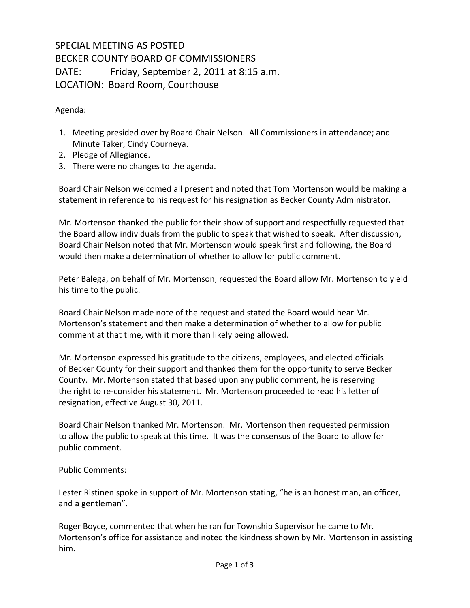## SPECIAL MEETING AS POSTED BECKER COUNTY BOARD OF COMMISSIONERS DATE: Friday, September 2, 2011 at 8:15 a.m. LOCATION: Board Room, Courthouse

Agenda:

- 1. Meeting presided over by Board Chair Nelson. All Commissioners in attendance; and Minute Taker, Cindy Courneya.
- 2. Pledge of Allegiance.
- 3. There were no changes to the agenda.

Board Chair Nelson welcomed all present and noted that Tom Mortenson would be making a statement in reference to his request for his resignation as Becker County Administrator.

Mr. Mortenson thanked the public for their show of support and respectfully requested that the Board allow individuals from the public to speak that wished to speak. After discussion, Board Chair Nelson noted that Mr. Mortenson would speak first and following, the Board would then make a determination of whether to allow for public comment.

Peter Balega, on behalf of Mr. Mortenson, requested the Board allow Mr. Mortenson to yield his time to the public.

Board Chair Nelson made note of the request and stated the Board would hear Mr. Mortenson's statement and then make a determination of whether to allow for public comment at that time, with it more than likely being allowed.

 Mr. Mortenson expressed his gratitude to the citizens, employees, and elected officials of Becker County for their support and thanked them for the opportunity to serve Becker County. Mr. Mortenson stated that based upon any public comment, he is reserving the right to re-consider his statement. Mr. Mortenson proceeded to read his letter of resignation, effective August 30, 2011.

Board Chair Nelson thanked Mr. Mortenson. Mr. Mortenson then requested permission to allow the public to speak at this time. It was the consensus of the Board to allow for public comment.

Public Comments:

Lester Ristinen spoke in support of Mr. Mortenson stating, "he is an honest man, an officer, and a gentleman".

Roger Boyce, commented that when he ran for Township Supervisor he came to Mr. Mortenson's office for assistance and noted the kindness shown by Mr. Mortenson in assisting him.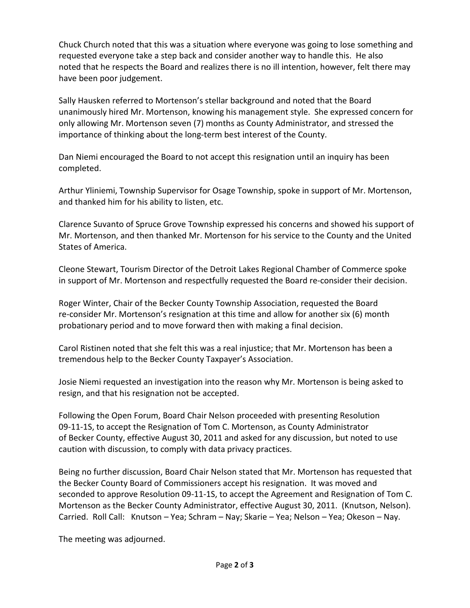Chuck Church noted that this was a situation where everyone was going to lose something and requested everyone take a step back and consider another way to handle this. He also noted that he respects the Board and realizes there is no ill intention, however, felt there may have been poor judgement.

Sally Hausken referred to Mortenson's stellar background and noted that the Board unanimously hired Mr. Mortenson, knowing his management style. She expressed concern for only allowing Mr. Mortenson seven (7) months as County Administrator, and stressed the importance of thinking about the long-term best interest of the County.

Dan Niemi encouraged the Board to not accept this resignation until an inquiry has been completed.

Arthur Yliniemi, Township Supervisor for Osage Township, spoke in support of Mr. Mortenson, and thanked him for his ability to listen, etc.

Clarence Suvanto of Spruce Grove Township expressed his concerns and showed his support of Mr. Mortenson, and then thanked Mr. Mortenson for his service to the County and the United States of America.

Cleone Stewart, Tourism Director of the Detroit Lakes Regional Chamber of Commerce spoke in support of Mr. Mortenson and respectfully requested the Board re-consider their decision.

Roger Winter, Chair of the Becker County Township Association, requested the Board re-consider Mr. Mortenson's resignation at this time and allow for another six (6) month probationary period and to move forward then with making a final decision.

Carol Ristinen noted that she felt this was a real injustice; that Mr. Mortenson has been a tremendous help to the Becker County Taxpayer's Association.

Josie Niemi requested an investigation into the reason why Mr. Mortenson is being asked to resign, and that his resignation not be accepted.

Following the Open Forum, Board Chair Nelson proceeded with presenting Resolution 09-11-1S, to accept the Resignation of Tom C. Mortenson, as County Administrator of Becker County, effective August 30, 2011 and asked for any discussion, but noted to use caution with discussion, to comply with data privacy practices.

Being no further discussion, Board Chair Nelson stated that Mr. Mortenson has requested that the Becker County Board of Commissioners accept his resignation. It was moved and seconded to approve Resolution 09-11-1S, to accept the Agreement and Resignation of Tom C. Mortenson as the Becker County Administrator, effective August 30, 2011. (Knutson, Nelson). Carried. Roll Call: Knutson – Yea; Schram – Nay; Skarie – Yea; Nelson – Yea; Okeson – Nay.

The meeting was adjourned.